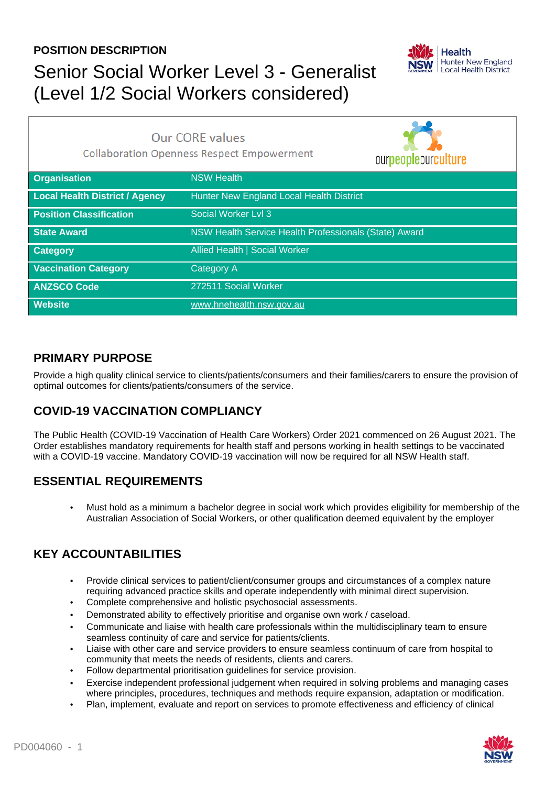### **POSITION DESCRIPTION**

## Senior Social Worker Level 3 - Generalist (Level 1/2 Social Workers considered)



|                                | <b>Our CORE values</b><br><b>Collaboration Openness Respect Empowerment</b><br>ourpeopleourculture |  |
|--------------------------------|----------------------------------------------------------------------------------------------------|--|
| <b>Organisation</b>            | <b>NSW Health</b>                                                                                  |  |
| Local Health District / Agency | Hunter New England Local Health District                                                           |  |
| <b>Position Classification</b> | Social Worker Lvl 3                                                                                |  |
| <b>State Award</b>             | NSW Health Service Health Professionals (State) Award                                              |  |
| <b>Category</b>                | Allied Health   Social Worker                                                                      |  |
| <b>Vaccination Category</b>    | <b>Category A</b>                                                                                  |  |
| <b>ANZSCO Code</b>             | 272511 Social Worker                                                                               |  |
| <b>Website</b>                 | www.hnehealth.nsw.gov.au                                                                           |  |

### **PRIMARY PURPOSE**

Provide a high quality clinical service to clients/patients/consumers and their families/carers to ensure the provision of optimal outcomes for clients/patients/consumers of the service.

## **COVID-19 VACCINATION COMPLIANCY**

The Public Health (COVID-19 Vaccination of Health Care Workers) Order 2021 commenced on 26 August 2021. The Order establishes mandatory requirements for health staff and persons working in health settings to be vaccinated with a COVID-19 vaccine. Mandatory COVID-19 vaccination will now be required for all NSW Health staff.

## **ESSENTIAL REQUIREMENTS**

• Must hold as a minimum a bachelor degree in social work which provides eligibility for membership of the Australian Association of Social Workers, or other qualification deemed equivalent by the employer

## **KEY ACCOUNTABILITIES**

- Provide clinical services to patient/client/consumer groups and circumstances of a complex nature requiring advanced practice skills and operate independently with minimal direct supervision.
- Complete comprehensive and holistic psychosocial assessments.
- Demonstrated ability to effectively prioritise and organise own work / caseload.
- Communicate and liaise with health care professionals within the multidisciplinary team to ensure seamless continuity of care and service for patients/clients.
- Liaise with other care and service providers to ensure seamless continuum of care from hospital to community that meets the needs of residents, clients and carers.
- Follow departmental prioritisation guidelines for service provision.
- Exercise independent professional judgement when required in solving problems and managing cases where principles, procedures, techniques and methods require expansion, adaptation or modification.
- Plan, implement, evaluate and report on services to promote effectiveness and efficiency of clinical

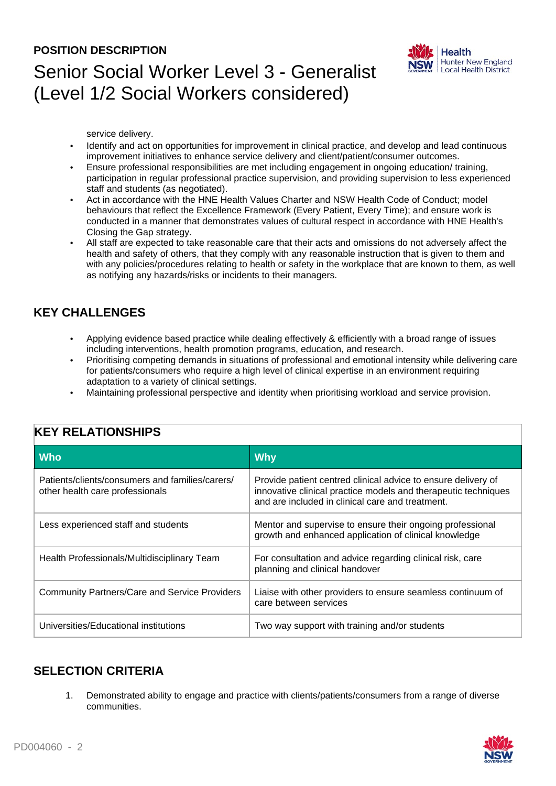#### **POSITION DESCRIPTION**

## Senior Social Worker Level 3 - Generalist (Level 1/2 Social Workers considered)



service delivery.

- Identify and act on opportunities for improvement in clinical practice, and develop and lead continuous improvement initiatives to enhance service delivery and client/patient/consumer outcomes.
- Ensure professional responsibilities are met including engagement in ongoing education/ training, participation in regular professional practice supervision, and providing supervision to less experienced staff and students (as negotiated).
- Act in accordance with the HNE Health Values Charter and NSW Health Code of Conduct; model behaviours that reflect the Excellence Framework (Every Patient, Every Time); and ensure work is conducted in a manner that demonstrates values of cultural respect in accordance with HNE Health's Closing the Gap strategy.
- All staff are expected to take reasonable care that their acts and omissions do not adversely affect the health and safety of others, that they comply with any reasonable instruction that is given to them and with any policies/procedures relating to health or safety in the workplace that are known to them, as well as notifying any hazards/risks or incidents to their managers.

### **KEY CHALLENGES**

- Applying evidence based practice while dealing effectively & efficiently with a broad range of issues including interventions, health promotion programs, education, and research.
- Prioritising competing demands in situations of professional and emotional intensity while delivering care for patients/consumers who require a high level of clinical expertise in an environment requiring adaptation to a variety of clinical settings.
- Maintaining professional perspective and identity when prioritising workload and service provision.

| <b>Who</b>                                                                         | <b>Why</b>                                                                                                                                                                          |  |  |
|------------------------------------------------------------------------------------|-------------------------------------------------------------------------------------------------------------------------------------------------------------------------------------|--|--|
| Patients/clients/consumers and families/carers/<br>other health care professionals | Provide patient centred clinical advice to ensure delivery of<br>innovative clinical practice models and therapeutic techniques<br>and are included in clinical care and treatment. |  |  |
| Less experienced staff and students                                                | Mentor and supervise to ensure their ongoing professional<br>growth and enhanced application of clinical knowledge                                                                  |  |  |
| Health Professionals/Multidisciplinary Team                                        | For consultation and advice regarding clinical risk, care<br>planning and clinical handover                                                                                         |  |  |
| <b>Community Partners/Care and Service Providers</b>                               | Liaise with other providers to ensure seamless continuum of<br>care between services                                                                                                |  |  |
| Universities/Educational institutions                                              | Two way support with training and/or students                                                                                                                                       |  |  |

### **KEY RELATIONSHIPS**

### **SELECTION CRITERIA**

1. Demonstrated ability to engage and practice with clients/patients/consumers from a range of diverse communities.